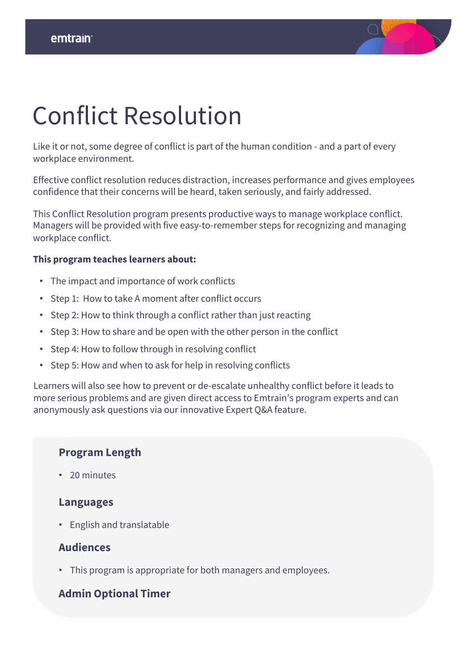

## Conflict Resolution

Like it or not, some degree of conflict is part of the human condition - and a part of every workplace environment.

Effective conflict resolution reduces distraction, increases performance and gives employees confidence that their concerns will be heard, taken seriously, and fairly addressed.

This Conflict Resolution program presents productive ways to manage workplace conflict. Managers will be provided with five easy-to-remember steps for recognizing and managing workplace conflict.

#### **This program teaches learners about:**

- The impact and importance of work conflicts
- Step 1: How to take A moment after conflict occurs
- Step 2: How to think through a conflict rather than just reacting
- Step 3: How to share and be open with the other person in the conflict
- Step 4: How to follow through in resolving conflict
- Step 5: How and when to ask for help in resolving conflicts

Learners will also see how to prevent or de-escalate unhealthy conflict before it leads to more serious problems and are given direct access to Emtrain's program experts and can anonymously ask questions via our innovative Expert Q&A feature.

### **Program Length**

• 20 minutes

#### **Languages**

• English and translatable

#### **Audiences**

• This program is appropriate for both managers and employees.

### **Admin Optional Timer**